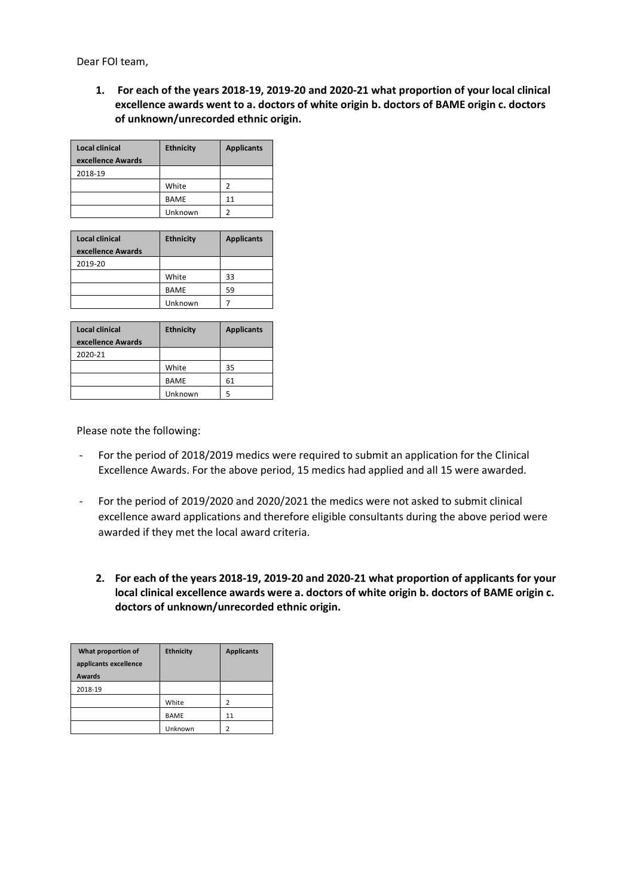Dear FOI team,

**1. For each of the years 2018-19, 2019-20 and 2020-21 what proportion of your local clinical excellence awards went to a. doctors of white origin b. doctors of BAME origin c. doctors of unknown/unrecorded ethnic origin.**

| Local clinical<br>excellence Awards | <b>Ethnicity</b> | <b>Applicants</b> |
|-------------------------------------|------------------|-------------------|
| 2018-19                             |                  |                   |
|                                     | White            | 2                 |
|                                     | <b>BAME</b>      | 11                |
|                                     | Unknown          |                   |

| Local clinical    | <b>Ethnicity</b> | <b>Applicants</b> |
|-------------------|------------------|-------------------|
| excellence Awards |                  |                   |
| 2019-20           |                  |                   |
|                   | White            | 33                |
|                   | <b>BAME</b>      | 59                |
|                   | Unknown          |                   |

| Local clinical    | <b>Ethnicity</b> | <b>Applicants</b> |
|-------------------|------------------|-------------------|
| excellence Awards |                  |                   |
| 2020-21           |                  |                   |
|                   | White            | 35                |
|                   | <b>BAME</b>      | 61                |
|                   | Unknown          | 5                 |

Please note the following:

- For the period of 2018/2019 medics were required to submit an application for the Clinical Excellence Awards. For the above period, 15 medics had applied and all 15 were awarded.
- For the period of 2019/2020 and 2020/2021 the medics were not asked to submit clinical excellence award applications and therefore eligible consultants during the above period were awarded if they met the local award criteria.
	- **2. For each of the years 2018-19, 2019-20 and 2020-21 what proportion of applicants for your local clinical excellence awards were a. doctors of white origin b. doctors of BAME origin c. doctors of unknown/unrecorded ethnic origin.**

| What proportion of<br>applicants excellence<br><b>Awards</b> | <b>Ethnicity</b> | <b>Applicants</b> |
|--------------------------------------------------------------|------------------|-------------------|
| 2018-19                                                      |                  |                   |
|                                                              | White            | 2                 |
|                                                              | <b>BAME</b>      | 11                |
|                                                              | Unknown          | າ                 |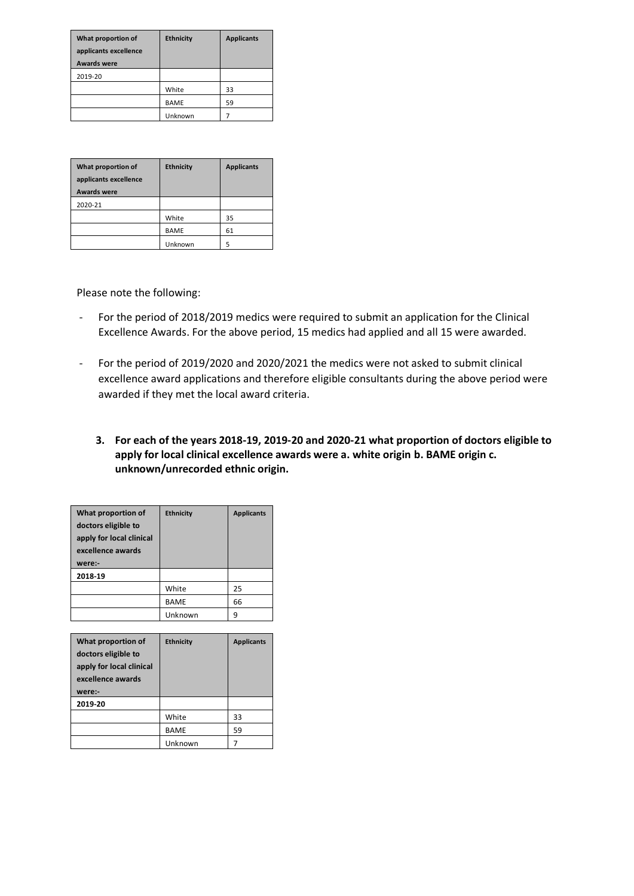| What proportion of<br>applicants excellence<br><b>Awards were</b> | <b>Ethnicity</b> | <b>Applicants</b> |
|-------------------------------------------------------------------|------------------|-------------------|
| 2019-20                                                           |                  |                   |
|                                                                   | White            | 33                |
|                                                                   | <b>BAME</b>      | 59                |
|                                                                   | Unknown          |                   |

| What proportion of<br>applicants excellence<br><b>Awards were</b> | <b>Ethnicity</b> | <b>Applicants</b> |
|-------------------------------------------------------------------|------------------|-------------------|
|                                                                   |                  |                   |
| 2020-21                                                           |                  |                   |
|                                                                   | White            | 35                |
|                                                                   | <b>BAME</b>      | 61                |
|                                                                   | Unknown          | 5                 |

Please note the following:

- For the period of 2018/2019 medics were required to submit an application for the Clinical Excellence Awards. For the above period, 15 medics had applied and all 15 were awarded.
- For the period of 2019/2020 and 2020/2021 the medics were not asked to submit clinical excellence award applications and therefore eligible consultants during the above period were awarded if they met the local award criteria.
	- **3. For each of the years 2018-19, 2019-20 and 2020-21 what proportion of doctors eligible to apply for local clinical excellence awards were a. white origin b. BAME origin c. unknown/unrecorded ethnic origin.**

| What proportion of<br>doctors eligible to<br>apply for local clinical<br>excellence awards<br>were:- | <b>Ethnicity</b> | <b>Applicants</b> |
|------------------------------------------------------------------------------------------------------|------------------|-------------------|
| 2018-19                                                                                              |                  |                   |
|                                                                                                      | White            | 25                |
|                                                                                                      | <b>BAME</b>      | 66                |
|                                                                                                      | Unknown          | 9                 |

| What proportion of<br>doctors eligible to<br>apply for local clinical<br>excellence awards<br>were:- | <b>Ethnicity</b> | <b>Applicants</b> |
|------------------------------------------------------------------------------------------------------|------------------|-------------------|
| 2019-20                                                                                              |                  |                   |
|                                                                                                      | White            | 33                |
|                                                                                                      | <b>BAME</b>      | 59                |
|                                                                                                      | Unknown          |                   |